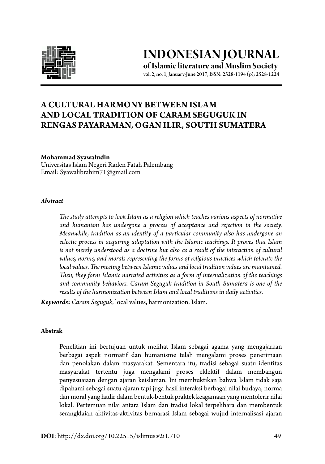

**INDONESIAN JOURNAL of Islamic literature and Muslim Society**

vol. 2, no. 1, January-June 2017, ISSN: 2528-1194 (p); 2528-1224

# **a Cultural Harmony Between Islam and Local Tradition of Caram Seguguk in Rengas Payaraman, Ogan Ilir, South Sumatera**

#### **Mohammad Syawaludin**

Universitas Islam Negeri Raden Fatah Palembang Email: Syawalibrahim71@gmail.com

#### *Abstract*

*The study attempts to look Islam as a religion which teaches various aspects of normative and humanism has undergone a process of acceptance and rejection in the society. Meanwhile, tradition as an identity of a particular community also has undergone an eclectic process in acquiring adaptation with the Islamic teachings. It proves that Islam*  is not merely understood as a doctrine but also as a result of the interaction of cultural *values, norms, and morals representing the forms of religious practices which tolerate the local values. The meeting between Islamic values and local tradition values are maintained. Then, they form Islamic narrated activities as a form of internalization of the teachings and community behaviors. Caram Seguguk tradition in South Sumatera is one of the results of the harmonization between Islam and local traditions in daily activities.* 

*Keywords***:** *Caram Seguguk*, local values, harmonization, Islam.

#### **Abstrak**

Penelitian ini bertujuan untuk melihat Islam sebagai agama yang mengajarkan berbagai aspek normatif dan humanisme telah mengalami proses penerimaan dan penolakan dalam masyarakat. Sementara itu, tradisi sebagai suatu identitas masyarakat tertentu juga mengalami proses eklektif dalam membangun penyesuaiaan dengan ajaran keislaman. Ini membuktikan bahwa Islam tidak saja dipahami sebagai suatu ajaran tapi juga hasil interaksi berbagai nilai budaya, norma dan moral yang hadir dalam bentuk-bentuk praktek keagamaan yang mentolerir nilai lokal. Pertemuan nilai antara Islam dan tradisi lokal terpelihara dan membentuk serangklaian aktivitas-aktivitas bernarasi Islam sebagai wujud internalisasi ajaran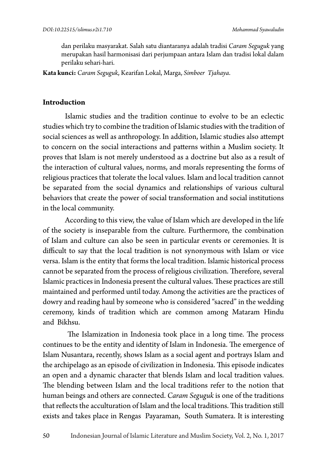dan perilaku masyarakat. Salah satu diantaranya adalah tradisi *Caram Seguguk* yang merupakan hasil harmonisasi dari perjumpaan antara Islam dan tradisi lokal dalam perilaku sehari-hari.

**Kata kunci:** *Caram Seguguk*, Kearifan Lokal, Marga, *Simboer Tjahaya*.

### **Introduction**

Islamic studies and the tradition continue to evolve to be an eclectic studies which try to combine the tradition of Islamic studies with the tradition of social sciences as well as anthropology. In addition, Islamic studies also attempt to concern on the social interactions and patterns within a Muslim society. It proves that Islam is not merely understood as a doctrine but also as a result of the interaction of cultural values, norms, and morals representing the forms of religious practices that tolerate the local values. Islam and local tradition cannot be separated from the social dynamics and relationships of various cultural behaviors that create the power of social transformation and social institutions in the local community.

According to this view, the value of Islam which are developed in the life of the society is inseparable from the culture. Furthermore, the combination of Islam and culture can also be seen in particular events or ceremonies. It is difficult to say that the local tradition is not synonymous with Islam or vice versa. Islam is the entity that forms the local tradition. Islamic historical process cannot be separated from the process of religious civilization. Therefore, several Islamic practices in Indonesia present the cultural values. These practices are still maintained and performed until today. Among the activities are the practices of dowry and reading haul by someone who is considered "sacred" in the wedding ceremony, kinds of tradition which are common among Mataram Hindu and Bikhsu.

 The Islamization in Indonesia took place in a long time. The process continues to be the entity and identity of Islam in Indonesia. The emergence of Islam Nusantara, recently, shows Islam as a social agent and portrays Islam and the archipelago as an episode of civilization in Indonesia. This episode indicates an open and a dynamic character that blends Islam and local tradition values. The blending between Islam and the local traditions refer to the notion that human beings and others are connected. *Caram Seguguk* is one of the traditions that reflects the acculturation of Islam and the local traditions. This tradition still exists and takes place in Rengas Payaraman, South Sumatera. It is interesting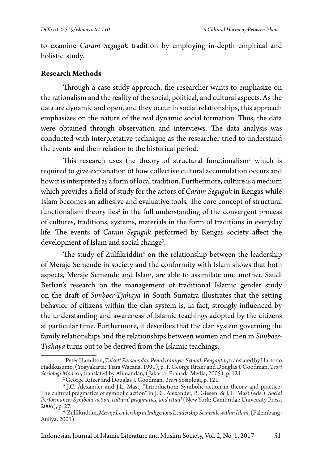to examine *Caram Seguguk* tradition by employing in-depth empirical and holistic study.

### **Research Methods**

Through a case study approach, the researcher wants to emphasize on the rationalism and the reality of the social, political, and cultural aspects. As the data are dynamic and open, and they occur in social relationships, this approach emphasizes on the nature of the real dynamic social formation. Thus, the data were obtained through observation and interviews. The data analysis was conducted with interpretative technique as the researcher tried to understand the events and their relation to the historical period.

This research uses the theory of structural functionalism<sup>1</sup> which is required to give explanation of how collective cultural accumulation occurs and how it is interpreted as a form of local tradition. Furthermore, culture is a medium which provides a field of study for the actors of *Caram Seguguk* in Rengas while Islam becomes an adhesive and evaluative tools. The core concept of structural functionalism theory lies $^2$  in the full understanding of the convergent process of cultures, traditions, systems, materials in the form of traditions in everyday life. The events of *Caram Seguguk* performed by Rengas society affect the development of Islam and social change<sup>3</sup>.

The study of Zulfikriddin<sup>4</sup> on the relationship between the leadership of Meraje Semende in society and the conformity with Islam shows that both aspects, Meraje Semende and Islam, are able to assimilate one another. Saudi Berlian's research on the management of traditional Islamic gender study on the draft of *Simboer-Tjahaya* in South Sumatra illustrates that the setting behavior of citizens within the clan system is, in fact, strongly influenced by the understanding and awareness of Islamic teachings adopted by the citizens at particular time. Furthermore, it describes that the clan system governing the family relationships and the relationships between women and men in *Simboer-Tjahaya* turns out to be derived from the Islamic teachings.

Indonesian Journal of Islamic Literature and Muslim Society, Vol. 2, No. 1, 2017 51

<sup>&</sup>lt;sup>1</sup>Peter Hamilton, *Talcott Parsons dan Pemikirannya: Sebuah Pengantar*, translated by Hartono Hadikusumo, (Yogyakarta: Tiara Wacana, 1991), p. 1. George Ritzer and Douglas J. Goodman, *Teori Sosiologi Modern*, translate

<sup>&</sup>lt;sup>2</sup> George Ritzer and Douglas J. Goodman, *Teori* Sosiologi, p. 121.<br><sup>3</sup> J.C. Alexander and J.L. Mast, "Introduction: Symbolic action in theory and practice: The cultural pragmatics of symbolic action" in J. C. Alexander, B. Giesen, & J. L. Mast (eds.), Social Performance: Symbolic action, cultural pragmatics, and ritual (New York: Cambridge University Press, 2006), p. 27.

<sup>2006),</sup> p. 27. <sup>4</sup> Zulfikriddin, *MerajeLeadership in Indigenous Leadership Semende within Islam*, (Palembang: Auliya, 2001).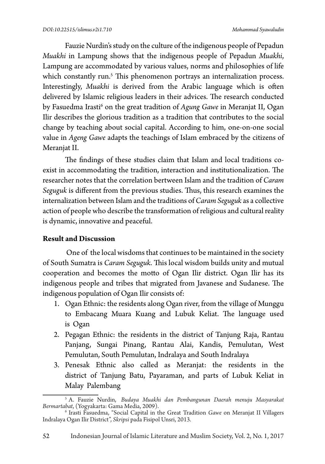Fauzie Nurdin's study on the culture of the indigenous people of Pepadun *Muakhi* in Lampung shows that the indigenous people of Pepadun *Muakhi*, Lampung are accommodated by various values, norms and philosophies of life which constantly run.<sup>5</sup> This phenomenon portrays an internalization process. Interestingly, *Muakhi* is derived from the Arabic language which is often delivered by Islamic religious leaders in their advices. The research conducted by Fasuedma Irasti<sup>6</sup> on the great tradition of *Agung Gawe* in Meranjat II, Ogan Ilir describes the glorious tradition as a tradition that contributes to the social change by teaching about social capital. According to him, one-on-one social value in *Ageng Gawe* adapts the teachings of Islam embraced by the citizens of Meranjat II.

The findings of these studies claim that Islam and local traditions coexist in accommodating the tradition, interaction and institutionalization. The researcher notes that the correlation bertween Islam and the tradition of *Caram Seguguk* is different from the previous studies. Thus, this research examines the internalization between Islam and the traditions of *Caram Seguguk* as a collective action of people who describe the transformation of religious and cultural reality is dynamic, innovative and peaceful.

## **Result and Discussion**

One of the local wisdoms that continues to be maintained in the society of South Sumatra is *Caram Seguguk*. This local wisdom builds unity and mutual cooperation and becomes the motto of Ogan Ilir district. Ogan Ilir has its indigenous people and tribes that migrated from Javanese and Sudanese. The indigenous population of Ogan Ilir consists of:

- 1. Ogan Ethnic: the residents along Ogan river, from the village of Munggu to Embacang Muara Kuang and Lubuk Keliat. The language used is Ogan
- 2. Pegagan Ethnic: the residents in the district of Tanjung Raja, Rantau Panjang, Sungai Pinang, Rantau Alai, Kandis, Pemulutan, West Pemulutan, South Pemulutan, Indralaya and South Indralaya
- 3. Penesak Ethnic also called as Meranjat: the residents in the district of Tanjung Batu, Payaraman, and parts of Lubuk Keliat in Malay Palembang

<sup>5</sup> A. Fauzie Nurdin, *Budaya Muakhi dan Pembangunan Daerah menuju Masyarakat* 

*Bermartabat*, (Yogyakarta: Gama Media, 2009). <sup>6</sup> Irasti Fasuedma, "Social Capital in the Great Tradition *Gawe* on Meranjat II Villagers Indralaya Ogan Ilir District", *Skripsi* pada Fisipol Unsri, 2013.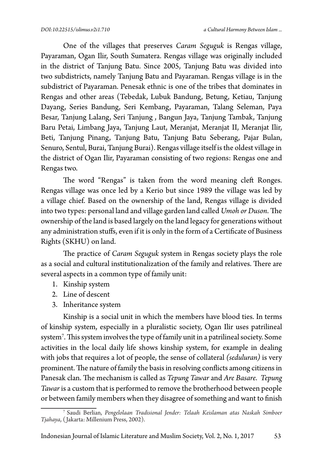One of the villages that preserves *Caram Seguguk* is Rengas village, Payaraman, Ogan Ilir, South Sumatera. Rengas village was originally included in the district of Tanjung Batu. Since 2005, Tanjung Batu was divided into two subdistricts, namely Tanjung Batu and Payaraman. Rengas village is in the subdistrict of Payaraman. Penesak ethnic is one of the tribes that dominates in Rengas and other areas (Tebedak, Lubuk Bandung, Betung, Ketiau, Tanjung Dayang, Series Bandung, Seri Kembang, Payaraman, Talang Seleman, Paya Besar, Tanjung Lalang, Seri Tanjung , Bangun Jaya, Tanjung Tambak, Tanjung Baru Petai, Limbang Jaya, Tanjung Laut, Meranjat, Meranjat II, Meranjat Ilir, Beti, Tanjung Pinang, Tanjung Batu, Tanjung Batu Seberang, Pajar Bulan, Senuro, Sentul, Burai, Tanjung Burai). Rengas village itself is the oldest village in the district of Ogan Ilir, Payaraman consisting of two regions: Rengas one and Rengas two.

The word "Rengas" is taken from the word meaning cleft Ronges. Rengas village was once led by a Kerio but since 1989 the village was led by a village chief. Based on the ownership of the land, Rengas village is divided into two types: personal land and village garden land called *Umoh or Duson*. The ownership of the land is based largely on the land legacy for generations without any administration stuffs, even if it is only in the form of a Certificate of Business Rights (SKHU) on land.

The practice of *Caram Seguguk* system in Rengas society plays the role as a social and cultural institutionalization of the family and relatives. There are several aspects in a common type of family unit:

- 1. Kinship system
- 2. Line of descent
- 3. Inheritance system

Kinship is a social unit in which the members have blood ties. In terms of kinship system, especially in a pluralistic society, Ogan Ilir uses patrilineal system7 . This system involves the type of family unit in a patrilineal society. Some activities in the local daily life shows kinship system, for example in dealing with jobs that requires a lot of people, the sense of collateral *(seduluran)* is very prominent. The nature of family the basis in resolving conflicts among citizens in Panesak clan. The mechanism is called as *Tepung Tawar* and *Are Basare*. *Tepung Tawar* is a custom that is performed to remove the brotherhood between people or between family members when they disagree of something and want to finish

<sup>7</sup> Saudi Berlian, *Pengelolaan Tradisional Jender: Telaah Keislaman atas Naskah Simboer Tjahaya*, ( Jakarta: Millenium Press, 2002).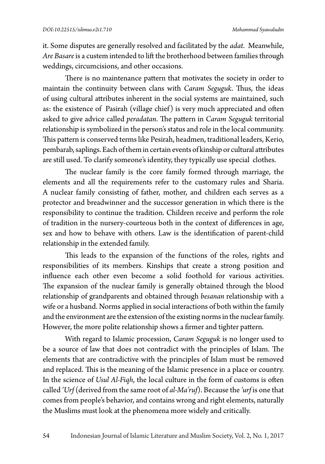it. Some disputes are generally resolved and facilitated by the *adat*. Meanwhile, *Are Basare* is a custem intended to lift the brotherhood between families through weddings, circumcisions, and other occasions.

There is no maintenance pattern that motivates the society in order to maintain the continuity between clans with *Caram Seguguk*. Thus, the ideas of using cultural attributes inherent in the social systems are maintained, such as: the existence of Pasirah (village chief) is very much appreciated and often asked to give advice called *peradatan*. The pattern in *Caram Seguguk* territorial relationship is symbolized in the person's status and role in the local community. This pattern is conserved terms like Pesirah, headmen, traditional leaders, Kerio, pembarab, saplings. Each of them in certain events of kinship or cultural attributes are still used. To clarify someone's identity, they typically use special clothes.

The nuclear family is the core family formed through marriage, the elements and all the requirements refer to the customary rules and Sharia. A nuclear family consisting of father, mother, and children each serves as a protector and breadwinner and the successor generation in which there is the responsibility to continue the tradition. Children receive and perform the role of tradition in the nursery-courteous both in the context of differences in age, sex and how to behave with others. Law is the identification of parent-child relationship in the extended family.

This leads to the expansion of the functions of the roles, rights and responsibilities of its members. Kinships that create a strong position and influence each other even become a solid foothold for various activities. The expansion of the nuclear family is generally obtained through the blood relationship of grandparents and obtained through *besanan* relationship with a wife or a husband. Norms applied in social interactions of both within the family and the environment are the extension of the existing norms in the nuclear family. However, the more polite relationship shows a firmer and tighter pattern.

With regard to Islamic procession, *Caram Seguguk* is no longer used to be a source of law that does not contradict with the principles of Islam. The elements that are contradictive with the principles of Islam must be removed and replaced. This is the meaning of the Islamic presence in a place or country. In the science of *Usul Al-Fiqh*, the local culture in the form of customs is often called *'Urf* (derived from the same root of *al-Ma'ruf*). Because the *'urf* is one that comes from people's behavior, and contains wrong and right elements, naturally the Muslims must look at the phenomena more widely and critically.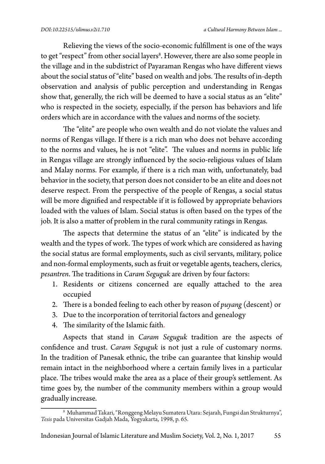Relieving the views of the socio-economic fulfillment is one of the ways to get "respect" from other social layers $^{\rm 8}$ . However, there are also some people in the village and in the subdistrict of Payaraman Rengas who have different views about the social status of "elite" based on wealth and jobs. The results of in-depth observation and analysis of public perception and understanding in Rengas show that, generally, the rich will be deemed to have a social status as an "elite" who is respected in the society, especially, if the person has behaviors and life orders which are in accordance with the values and norms of the society.

The "elite" are people who own wealth and do not violate the values and norms of Rengas village. If there is a rich man who does not behave according to the norms and values, he is not "elite". The values and norms in public life in Rengas village are strongly influenced by the socio-religious values of Islam and Malay norms. For example, if there is a rich man with, unfortunately, bad behavior in the society, that person does not consider to be an elite and does not deserve respect. From the perspective of the people of Rengas, a social status will be more dignified and respectable if it is followed by appropriate behaviors loaded with the values of Islam. Social status is often based on the types of the job. It is also a matter of problem in the rural community ratings in Rengas.

The aspects that determine the status of an "elite" is indicated by the wealth and the types of work. The types of work which are considered as having the social status are formal employments, such as civil servants, military, police and non-formal employments, such as fruit or vegetable agents, teachers, clerics, *pesantren*. The traditions in *Caram Seguguk* are driven by four factors:

- 1. Residents or citizens concerned are equally attached to the area occupied
- 2. There is a bonded feeling to each other by reason of *puyang* (descent) or
- 3. Due to the incorporation of territorial factors and genealogy
- 4. The similarity of the Islamic faith.

Aspects that stand in *Caram Seguguk* tradition are the aspects of confidence and trust. *Caram Seguguk* is not just a rule of customary norms. In the tradition of Panesak ethnic, the tribe can guarantee that kinship would remain intact in the neighborhood where a certain family lives in a particular place. The tribes would make the area as a place of their group's settlement. As time goes by, the number of the community members within a group would gradually increase.

 $^{\rm 8}$  Muhammad Takari, "Ronggeng Melayu Sumatera Utara: Sejarah, Fungsi dan Strukturnya", *Tesis* pada Universitas Gadjah Mada, Yogyakarta, 1998, p. 65.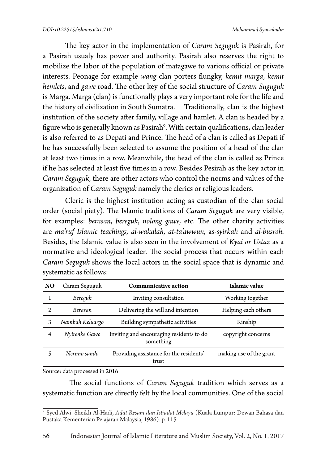The key actor in the implementation of *Caram Seguguk* is Pasirah, for a Pasirah usualy has power and authority. Pasirah also reserves the right to mobilize the labor of the population of matagawe to various official or private interests. Peonage for example *wang* clan porters flungky, *kemit marga*, *kemit hemlets*, and *gawe* road. The other key of the social structure of *Caram Suguguk* is Marga. Marga (clan) is functionally plays a very important role for the life and the history of civilization in South Sumatra. Traditionally, clan is the highest institution of the society after family, village and hamlet. A clan is headed by a figure who is generally known as Pasirah<sup>9</sup>. With certain qualifications, clan leader is also referred to as Depati and Prince. The head of a clan is called as Depati if he has successfully been selected to assume the position of a head of the clan at least two times in a row. Meanwhile, the head of the clan is called as Prince if he has selected at least five times in a row. Besides Pesirah as the key actor in *Caram Seguguk*, there are other actors who control the norms and values of the organization of *Caram Seguguk* namely the clerics or religious leaders.

Cleric is the highest institution acting as custodian of the clan social order (social piety). The Islamic traditions of *Caram Seguguk* are very visible, for examples: *berasan*, *bereguk*, *nolong gawe,* etc. The other charity activities are *ma'ruf Islamic teachings, al-wakalah, at-ta'awwun,* as*-syirkah* and *al-busroh.* Besides, the Islamic value is also seen in the involvement of *Kyai or Ustaz* as a normative and ideological leader. The social process that occurs within each *Caram Seguguk* shows the local actors in the social space that is dynamic and systematic as follows:

| NO. | Caram Seguguk   | <b>Communicative action</b>                           | Islamic value           |
|-----|-----------------|-------------------------------------------------------|-------------------------|
|     | Bereguk         | Inviting consultation                                 | Working together        |
|     | Berasan         | Delivering the will and intention                     | Helping each others     |
| 3   | Nambah Keluargo | Building sympathetic activities                       | Kinship                 |
| 4   | Nyirenke Gawe   | Inviting and encouraging residents to do<br>something | copyright concerns      |
|     | Nerimo sando    | Providing assistance for the residents'<br>trust      | making use of the grant |

Source: data processed in 2016

 The social functions of *Caram Seguguk* tradition which serves as a systematic function are directly felt by the local communities. One of the social

<sup>9</sup> Syed Alwi Sheikh Al-Hadi, *Adat Resam dan Istiadat Melayu* (Kuala Lumpur: Dewan Bahasa dan Pustaka Kementerian Pelajaran Malaysia, 1986). p. 115.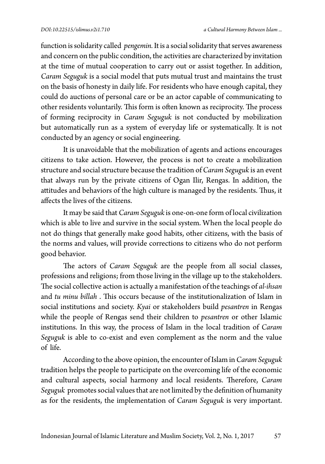function is solidarity called *pengemin.* It is a social solidarity that serves awareness and concern on the public condition, the activities are characterized by invitation at the time of mutual cooperation to carry out or assist together. In addition, *Caram Seguguk* is a social model that puts mutual trust and maintains the trust on the basis of honesty in daily life. For residents who have enough capital, they could do auctions of personal care or be an actor capable of communicating to other residents voluntarily. This form is often known as reciprocity. The process of forming reciprocity in *Caram Seguguk* is not conducted by mobilization but automatically run as a system of everyday life or systematically. It is not conducted by an agency or social engineering.

It is unavoidable that the mobilization of agents and actions encourages citizens to take action. However, the process is not to create a mobilization structure and social structure because the tradition of *Caram Seguguk* is an event that always run by the private citizens of Ogan Ilir, Rengas. In addition, the attitudes and behaviors of the high culture is managed by the residents. Thus, it affects the lives of the citizens.

It may be said that *Caram Seguguk* is one-on-one form of local civilization which is able to live and survive in the social system. When the local people do not do things that generally make good habits, other citizens, with the basis of the norms and values, will provide corrections to citizens who do not perform good behavior.

The actors of *Caram Seguguk* are the people from all social classes, professions and religions; from those living in the village up to the stakeholders. The social collective action is actually a manifestation of the teachings of *al-ihsan* and *tu minu billah* . This occurs because of the institutionalization of Islam in social institutions and society. *Kyai* or stakeholders build *pesantren* in Rengas while the people of Rengas send their children to *pesantren* or other Islamic institutions. In this way, the process of Islam in the local tradition of *Caram Seguguk* is able to co-exist and even complement as the norm and the value of life.

According to the above opinion, the encounter of Islam in *Caram Seguguk* tradition helps the people to participate on the overcoming life of the economic and cultural aspects, social harmony and local residents. Therefore, *Caram Seguguk* promotes social values that are not limited by the definition of humanity as for the residents, the implementation of *Caram Seguguk* is very important.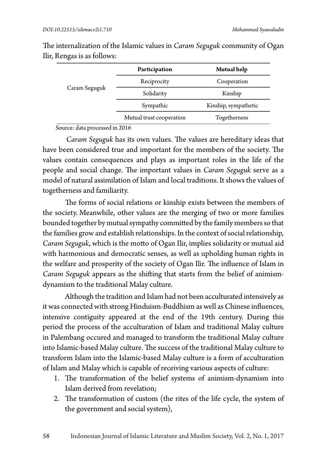| Caram Seguguk | Participation            | Mutual help          |
|---------------|--------------------------|----------------------|
|               | Reciprocity              | Cooperation          |
|               | Solidarity               | Kinship              |
|               | Sympathic                | Kinship, sympathetic |
|               | Mutual trust cooperation | Togetherness         |

The internalization of the Islamic values in *Caram Seguguk* community of Ogan Ilir, Rengas is as follows:

Source: data processed in 2016

*Caram Seguguk* has its own values. The values are hereditary ideas that have been considered true and important for the members of the society. The values contain consequences and plays as important roles in the life of the people and social change. The important values in *Caram Seguguk* serve as a model of natural assimilation of Islam and local traditions. It shows the values of togetherness and familiarity.

The forms of social relations or kinship exists between the members of the society. Meanwhile, other values are the merging of two or more families bounded together by mutual sympathy committed by the family members so that the families grow and establish relationships. In the context of social relationship, *Caram Seguguk*, which is the motto of Ogan Ilir, implies solidarity or mutual aid with harmonious and democratic senses, as well as upholding human rights in the welfare and prosperity of the society of Ogan Ilir. The influence of Islam in *Caram Seguguk* appears as the shifting that starts from the belief of animismdynamism to the traditional Malay culture.

Although the tradition and Islam had not been acculturated intensively as it was connected with strong Hinduism-Buddhism as well as Chinese influences, intensive contiguity appeared at the end of the 19th century. During this period the process of the acculturation of Islam and traditional Malay culture in Palembang occured and managed to transform the traditional Malay culture into Islamic-based Malay culture. The success of the traditional Malay culture to transform Islam into the Islamic-based Malay culture is a form of acculturation of Islam and Malay which is capable of receiving various aspects of culture:

- 1. The transformation of the belief systems of animism-dynamism into Islam derived from revelation;
- 2. The transformation of custom (the rites of the life cycle, the system of the government and social system),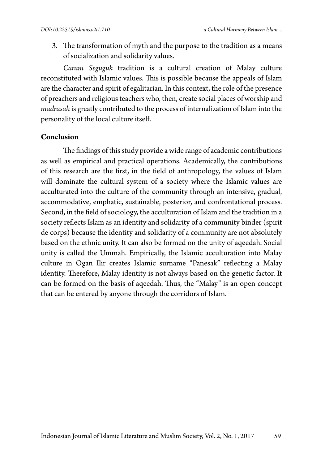3. The transformation of myth and the purpose to the tradition as a means of socialization and solidarity values.

*Caram Seguguk* tradition is a cultural creation of Malay culture reconstituted with Islamic values. This is possible because the appeals of Islam are the character and spirit of egalitarian. In this context, the role of the presence of preachers and religious teachers who, then, create social places of worship and *madrasah* is greatly contributed to the process of internalization of Islam into the personality of the local culture itself.

### **Conclusion**

The findings of this study provide a wide range of academic contributions as well as empirical and practical operations. Academically, the contributions of this research are the first, in the field of anthropology, the values of Islam will dominate the cultural system of a society where the Islamic values are acculturated into the culture of the community through an intensive, gradual, accommodative, emphatic, sustainable, posterior, and confrontational process. Second, in the field of sociology, the acculturation of Islam and the tradition in a society reflects Islam as an identity and solidarity of a community binder (spirit de corps) because the identity and solidarity of a community are not absolutely based on the ethnic unity. It can also be formed on the unity of aqeedah. Social unity is called the Ummah. Empirically, the Islamic acculturation into Malay culture in Ogan Ilir creates Islamic surname "Panesak" reflecting a Malay identity. Therefore, Malay identity is not always based on the genetic factor. It can be formed on the basis of aqeedah. Thus, the "Malay" is an open concept that can be entered by anyone through the corridors of Islam.